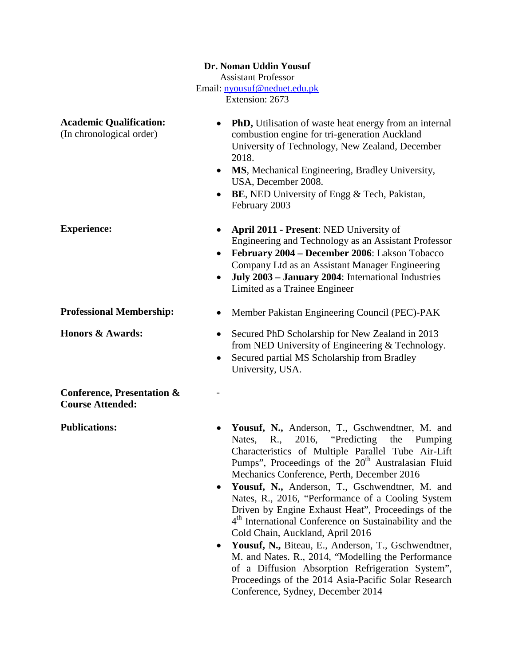|                                                                  | Dr. Noman Uddin Yousuf                                                                                                                                                                                                                                                                                                                                                                                                                                                                                                                                                                                                                                                                                                                                                                                            |
|------------------------------------------------------------------|-------------------------------------------------------------------------------------------------------------------------------------------------------------------------------------------------------------------------------------------------------------------------------------------------------------------------------------------------------------------------------------------------------------------------------------------------------------------------------------------------------------------------------------------------------------------------------------------------------------------------------------------------------------------------------------------------------------------------------------------------------------------------------------------------------------------|
|                                                                  | <b>Assistant Professor</b><br>Email: nyousuf@neduet.edu.pk                                                                                                                                                                                                                                                                                                                                                                                                                                                                                                                                                                                                                                                                                                                                                        |
| Extension: 2673                                                  |                                                                                                                                                                                                                                                                                                                                                                                                                                                                                                                                                                                                                                                                                                                                                                                                                   |
| <b>Academic Qualification:</b><br>(In chronological order)       | <b>PhD</b> , Utilisation of waste heat energy from an internal<br>combustion engine for tri-generation Auckland<br>University of Technology, New Zealand, December<br>2018.<br>MS, Mechanical Engineering, Bradley University,<br>USA, December 2008.<br><b>BE, NED University of Engg &amp; Tech, Pakistan,</b><br>February 2003                                                                                                                                                                                                                                                                                                                                                                                                                                                                                 |
| <b>Experience:</b>                                               | April 2011 - Present: NED University of<br>Engineering and Technology as an Assistant Professor<br>February 2004 - December 2006: Lakson Tobacco<br>Company Ltd as an Assistant Manager Engineering<br>July 2003 - January 2004: International Industries<br>Limited as a Trainee Engineer                                                                                                                                                                                                                                                                                                                                                                                                                                                                                                                        |
| <b>Professional Membership:</b>                                  | Member Pakistan Engineering Council (PEC)-PAK                                                                                                                                                                                                                                                                                                                                                                                                                                                                                                                                                                                                                                                                                                                                                                     |
| Honors & Awards:                                                 | Secured PhD Scholarship for New Zealand in 2013<br>$\bullet$<br>from NED University of Engineering & Technology.<br>Secured partial MS Scholarship from Bradley<br>University, USA.                                                                                                                                                                                                                                                                                                                                                                                                                                                                                                                                                                                                                               |
| <b>Conference, Presentation &amp;</b><br><b>Course Attended:</b> |                                                                                                                                                                                                                                                                                                                                                                                                                                                                                                                                                                                                                                                                                                                                                                                                                   |
| <b>Publications:</b>                                             | Yousuf, N., Anderson, T., Gschwendtner, M. and<br>Nates, R., 2016, "Predicting the<br>Pumping<br>Characteristics of Multiple Parallel Tube Air-Lift<br>Pumps", Proceedings of the 20 <sup>th</sup> Australasian Fluid<br>Mechanics Conference, Perth, December 2016<br>Yousuf, N., Anderson, T., Gschwendtner, M. and<br>٠<br>Nates, R., 2016, "Performance of a Cooling System<br>Driven by Engine Exhaust Heat", Proceedings of the<br>4 <sup>th</sup> International Conference on Sustainability and the<br>Cold Chain, Auckland, April 2016<br>Yousuf, N., Biteau, E., Anderson, T., Gschwendtner,<br>٠<br>M. and Nates. R., 2014, "Modelling the Performance<br>of a Diffusion Absorption Refrigeration System",<br>Proceedings of the 2014 Asia-Pacific Solar Research<br>Conference, Sydney, December 2014 |